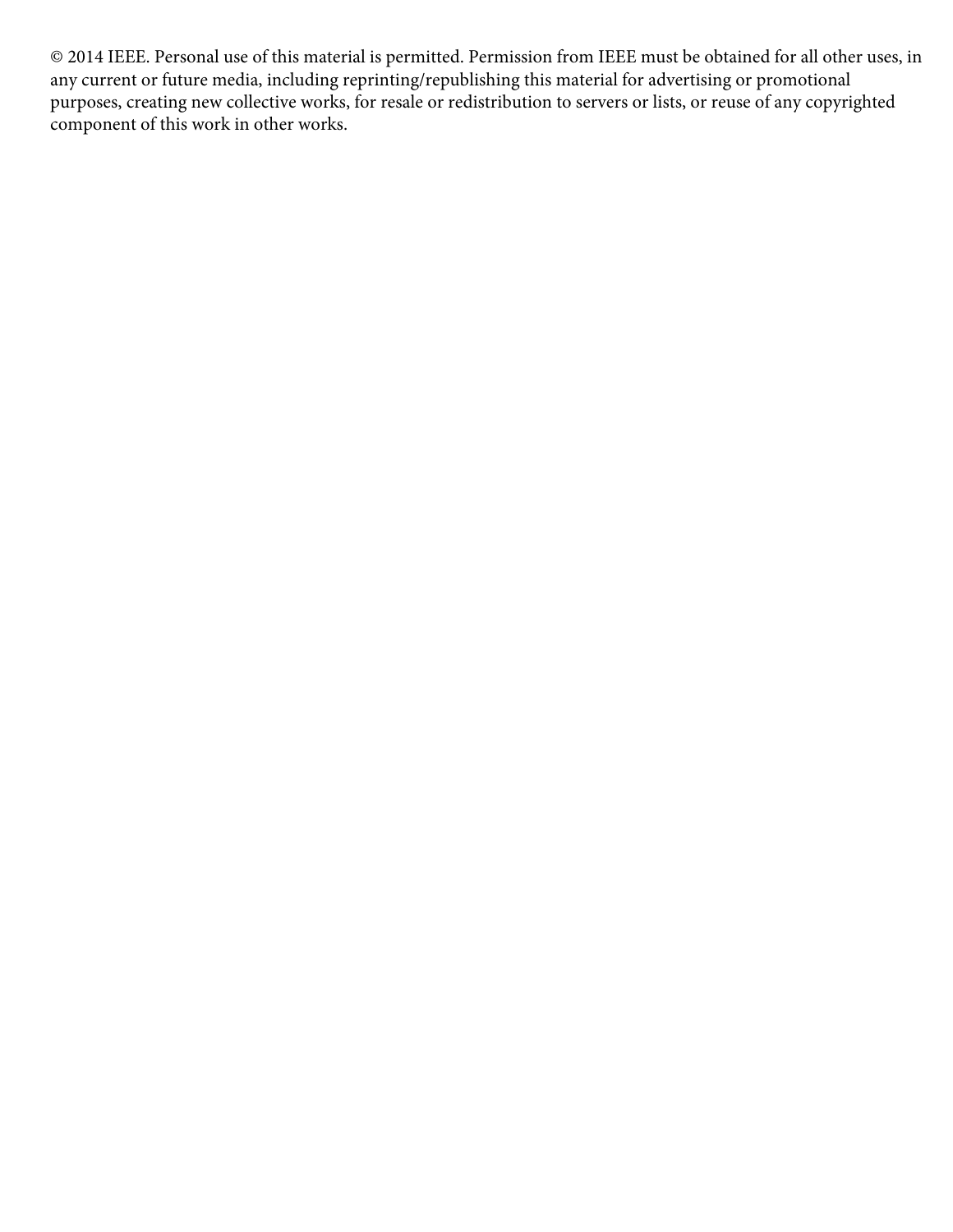© 2014 IEEE. Personal use of this material is permitted. Permission from IEEE must be obtained for all other uses, in any current or future media, including reprinting/republishing this material for advertising or promotional purposes, creating new collective works, for resale or redistribution to servers or lists, or reuse of any copyrighted component of this work in other works.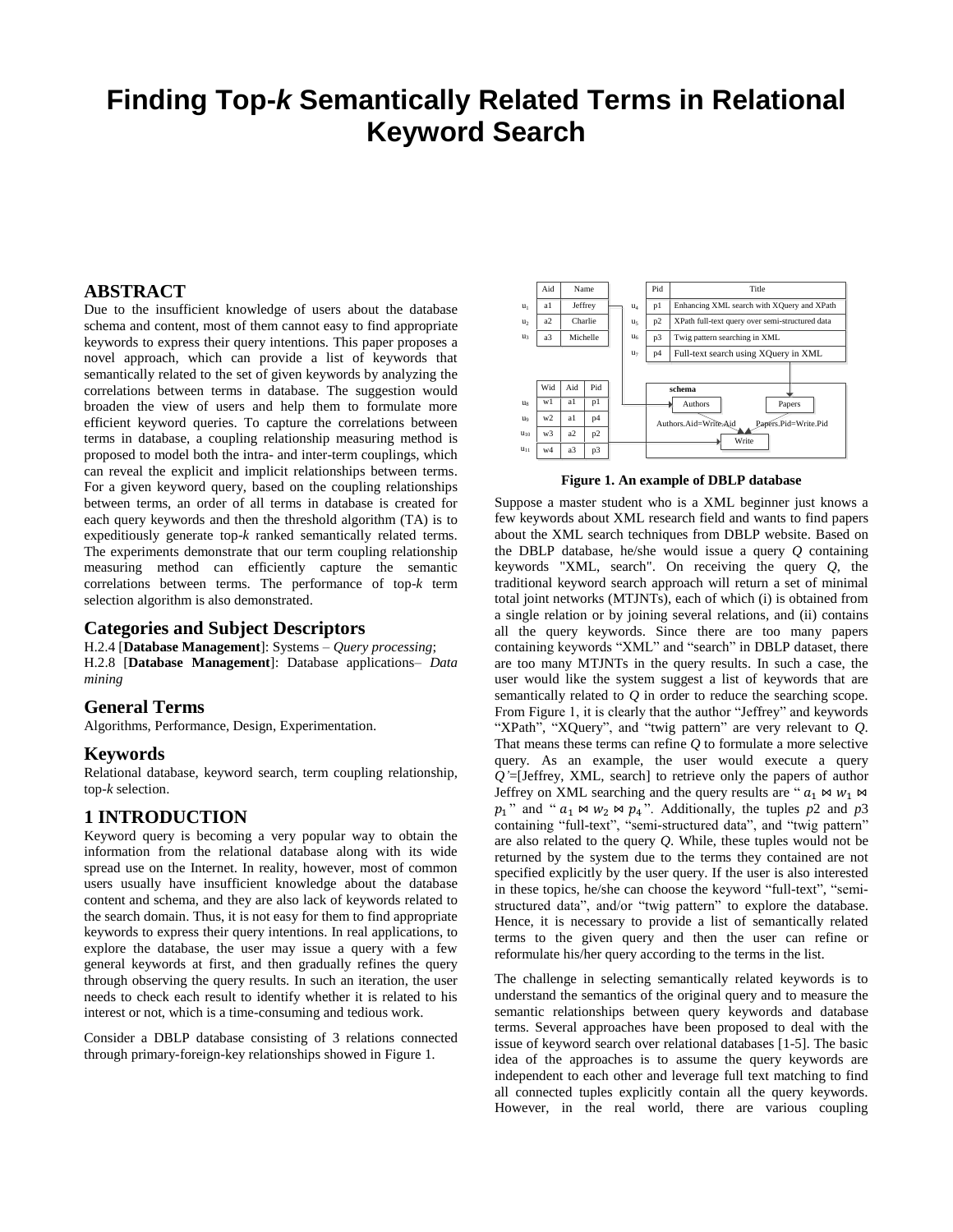# **Finding Top-***k* **Semantically Related Terms in Relational Keyword Search**

# **ABSTRACT**

Due to the insufficient knowledge of users about the database schema and content, most of them cannot easy to find appropriate keywords to express their query intentions. This paper proposes a novel approach, which can provide a list of keywords that semantically related to the set of given keywords by analyzing the correlations between terms in database. The suggestion would broaden the view of users and help them to formulate more efficient keyword queries. To capture the correlations between terms in database, a coupling relationship measuring method is proposed to model both the intra- and inter-term couplings, which can reveal the explicit and implicit relationships between terms. For a given keyword query, based on the coupling relationships between terms, an order of all terms in database is created for each query keywords and then the threshold algorithm (TA) is to expeditiously generate top-*k* ranked semantically related terms. The experiments demonstrate that our term coupling relationship measuring method can efficiently capture the semantic correlations between terms. The performance of top-*k* term selection algorithm is also demonstrated.

#### **Categories and Subject Descriptors**

H.2.4 [**Database Management**]: Systems – *Query processing*; H.2.8 [**Database Management**]: Database applications– *Data mining*

#### **General Terms**

Algorithms, Performance, Design, Experimentation.

#### **Keywords**

Relational database, keyword search, term coupling relationship, top-*k* selection.

# **1 INTRODUCTION**

Keyword query is becoming a very popular way to obtain the information from the relational database along with its wide spread use on the Internet. In reality, however, most of common users usually have insufficient knowledge about the database content and schema, and they are also lack of keywords related to the search domain. Thus, it is not easy for them to find appropriate keywords to express their query intentions. In real applications, to explore the database, the user may issue a query with a few general keywords at first, and then gradually refines the query through observing the query results. In such an iteration, the user needs to check each result to identify whether it is related to his interest or not, which is a time-consuming and tedious work.

Consider a DBLP database consisting of 3 relations connected through primary-foreign-key relationships showed in Figure 1*.*



**Figure 1. An example of DBLP database**

Suppose a master student who is a XML beginner just knows a few keywords about XML research field and wants to find papers about the XML search techniques from DBLP website. Based on the DBLP database, he/she would issue a query *Q* containing keywords "XML, search". On receiving the query *Q*, the traditional keyword search approach will return a set of minimal total joint networks (MTJNTs), each of which (i) is obtained from a single relation or by joining several relations, and (ii) contains all the query keywords. Since there are too many papers containing keywords "XML" and "search" in DBLP dataset, there are too many MTJNTs in the query results. In such a case, the user would like the system suggest a list of keywords that are semantically related to *Q* in order to reduce the searching scope. From Figure 1, it is clearly that the author "Jeffrey" and keywords "XPath", "XQuery", and "twig pattern" are very relevant to *Q*. That means these terms can refine *Q* to formulate a more selective query. As an example, the user would execute a query *Q'*=[Jeffrey, XML, search] to retrieve only the papers of author Jeffrey on XML searching and the query results are "  $a_1 \bowtie w_1 \bowtie$  $p_1$ " and "  $a_1 \bowtie w_2 \bowtie p_4$ ". Additionally, the tuples  $p_2$  and  $p_3$ containing "full-text", "semi-structured data", and "twig pattern" are also related to the query *Q*. While, these tuples would not be returned by the system due to the terms they contained are not specified explicitly by the user query. If the user is also interested in these topics, he/she can choose the keyword "full-text", "semistructured data", and/or "twig pattern" to explore the database. Hence, it is necessary to provide a list of semantically related terms to the given query and then the user can refine or reformulate his/her query according to the terms in the list.

The challenge in selecting semantically related keywords is to understand the semantics of the original query and to measure the semantic relationships between query keywords and database terms. Several approaches have been proposed to deal with the issue of keyword search over relational databases [1-5]. The basic idea of the approaches is to assume the query keywords are independent to each other and leverage full text matching to find all connected tuples explicitly contain all the query keywords. However, in the real world, there are various coupling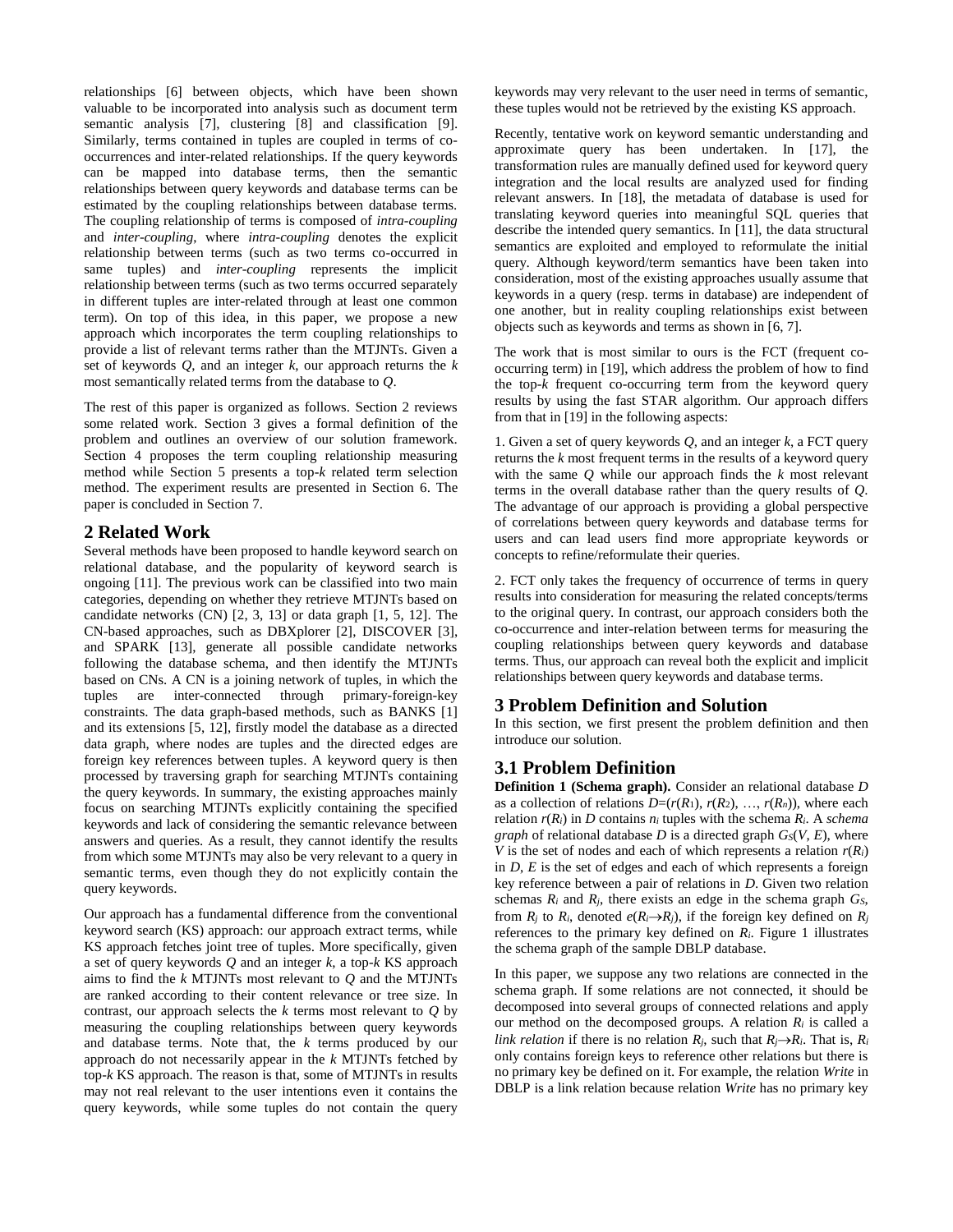relationships [6] between objects, which have been shown valuable to be incorporated into analysis such as document term semantic analysis [7], clustering [8] and classification [9]. Similarly, terms contained in tuples are coupled in terms of cooccurrences and inter-related relationships. If the query keywords can be mapped into database terms, then the semantic relationships between query keywords and database terms can be estimated by the coupling relationships between database terms. The coupling relationship of terms is composed of *intra-coupling* and *inter-coupling*, where *intra-coupling* denotes the explicit relationship between terms (such as two terms co-occurred in same tuples) and *inter-coupling* represents the implicit relationship between terms (such as two terms occurred separately in different tuples are inter-related through at least one common term). On top of this idea, in this paper, we propose a new approach which incorporates the term coupling relationships to provide a list of relevant terms rather than the MTJNTs. Given a set of keywords *Q*, and an integer *k*, our approach returns the *k* most semantically related terms from the database to *Q*.

The rest of this paper is organized as follows. Section 2 reviews some related work. Section 3 gives a formal definition of the problem and outlines an overview of our solution framework. Section 4 proposes the term coupling relationship measuring method while Section 5 presents a top-*k* related term selection method. The experiment results are presented in Section 6. The paper is concluded in Section 7.

# **2 Related Work**

Several methods have been proposed to handle keyword search on relational database, and the popularity of keyword search is ongoing [11]. The previous work can be classified into two main categories, depending on whether they retrieve MTJNTs based on candidate networks (CN) [2, 3, 13] or data graph [1, 5, 12]. The CN-based approaches, such as DBXplorer [2], DISCOVER [3], and SPARK [13], generate all possible candidate networks following the database schema, and then identify the MTJNTs based on CNs. A CN is a joining network of tuples, in which the tuples are inter-connected through primary-foreign-key constraints. The data graph-based methods, such as BANKS [1] and its extensions [5, 12], firstly model the database as a directed data graph, where nodes are tuples and the directed edges are foreign key references between tuples. A keyword query is then processed by traversing graph for searching MTJNTs containing the query keywords. In summary, the existing approaches mainly focus on searching MTJNTs explicitly containing the specified keywords and lack of considering the semantic relevance between answers and queries. As a result, they cannot identify the results from which some MTJNTs may also be very relevant to a query in semantic terms, even though they do not explicitly contain the query keywords.

Our approach has a fundamental difference from the conventional keyword search (KS) approach: our approach extract terms, while KS approach fetches joint tree of tuples. More specifically, given a set of query keywords *Q* and an integer *k*, a top-*k* KS approach aims to find the *k* MTJNTs most relevant to *Q* and the MTJNTs are ranked according to their content relevance or tree size. In contrast, our approach selects the *k* terms most relevant to *Q* by measuring the coupling relationships between query keywords and database terms. Note that, the *k* terms produced by our approach do not necessarily appear in the *k* MTJNTs fetched by top-*k* KS approach. The reason is that, some of MTJNTs in results may not real relevant to the user intentions even it contains the query keywords, while some tuples do not contain the query

keywords may very relevant to the user need in terms of semantic, these tuples would not be retrieved by the existing KS approach.

Recently, tentative work on keyword semantic understanding and approximate query has been undertaken. In [17], the transformation rules are manually defined used for keyword query integration and the local results are analyzed used for finding relevant answers. In [18], the metadata of database is used for translating keyword queries into meaningful SQL queries that describe the intended query semantics. In [11], the data structural semantics are exploited and employed to reformulate the initial query. Although keyword/term semantics have been taken into consideration, most of the existing approaches usually assume that keywords in a query (resp. terms in database) are independent of one another, but in reality coupling relationships exist between objects such as keywords and terms as shown in [6, 7].

The work that is most similar to ours is the FCT (frequent cooccurring term) in [19], which address the problem of how to find the top-*k* frequent co-occurring term from the keyword query results by using the fast STAR algorithm. Our approach differs from that in [19] in the following aspects:

1. Given a set of query keywords *Q*, and an integer *k*, a FCT query returns the *k* most frequent terms in the results of a keyword query with the same *Q* while our approach finds the *k* most relevant terms in the overall database rather than the query results of *Q*. The advantage of our approach is providing a global perspective of correlations between query keywords and database terms for users and can lead users find more appropriate keywords or concepts to refine/reformulate their queries.

2. FCT only takes the frequency of occurrence of terms in query results into consideration for measuring the related concepts/terms to the original query. In contrast, our approach considers both the co-occurrence and inter-relation between terms for measuring the coupling relationships between query keywords and database terms. Thus, our approach can reveal both the explicit and implicit relationships between query keywords and database terms.

# **3 Problem Definition and Solution**

In this section, we first present the problem definition and then introduce our solution.

# **3.1 Problem Definition**

**Definition 1 (Schema graph).** Consider an relational database *D* as a collection of relations  $D=(r(R_1), r(R_2), \ldots, r(R_n))$ , where each relation  $r(R_i)$  in *D* contains  $n_i$  tuples with the schema  $R_i$ . A *schema graph* of relational database *D* is a directed graph  $G_S(V, E)$ , where *V* is the set of nodes and each of which represents a relation  $r(R_i)$ in *D*, *E* is the set of edges and each of which represents a foreign key reference between a pair of relations in *D*. Given two relation schemas  $R_i$  and  $R_j$ , there exists an edge in the schema graph  $G_s$ , from  $R_i$  to  $R_i$ , denoted  $e(R_i \rightarrow R_j)$ , if the foreign key defined on  $R_j$ references to the primary key defined on  $R_i$ . Figure 1 illustrates the schema graph of the sample DBLP database.

In this paper, we suppose any two relations are connected in the schema graph. If some relations are not connected, it should be decomposed into several groups of connected relations and apply our method on the decomposed groups. A relation  $R_i$  is called a *link relation* if there is no relation  $R_i$ , such that  $R_i \rightarrow R_i$ . That is,  $R_i$ only contains foreign keys to reference other relations but there is no primary key be defined on it. For example, the relation *Write* in DBLP is a link relation because relation *Write* has no primary key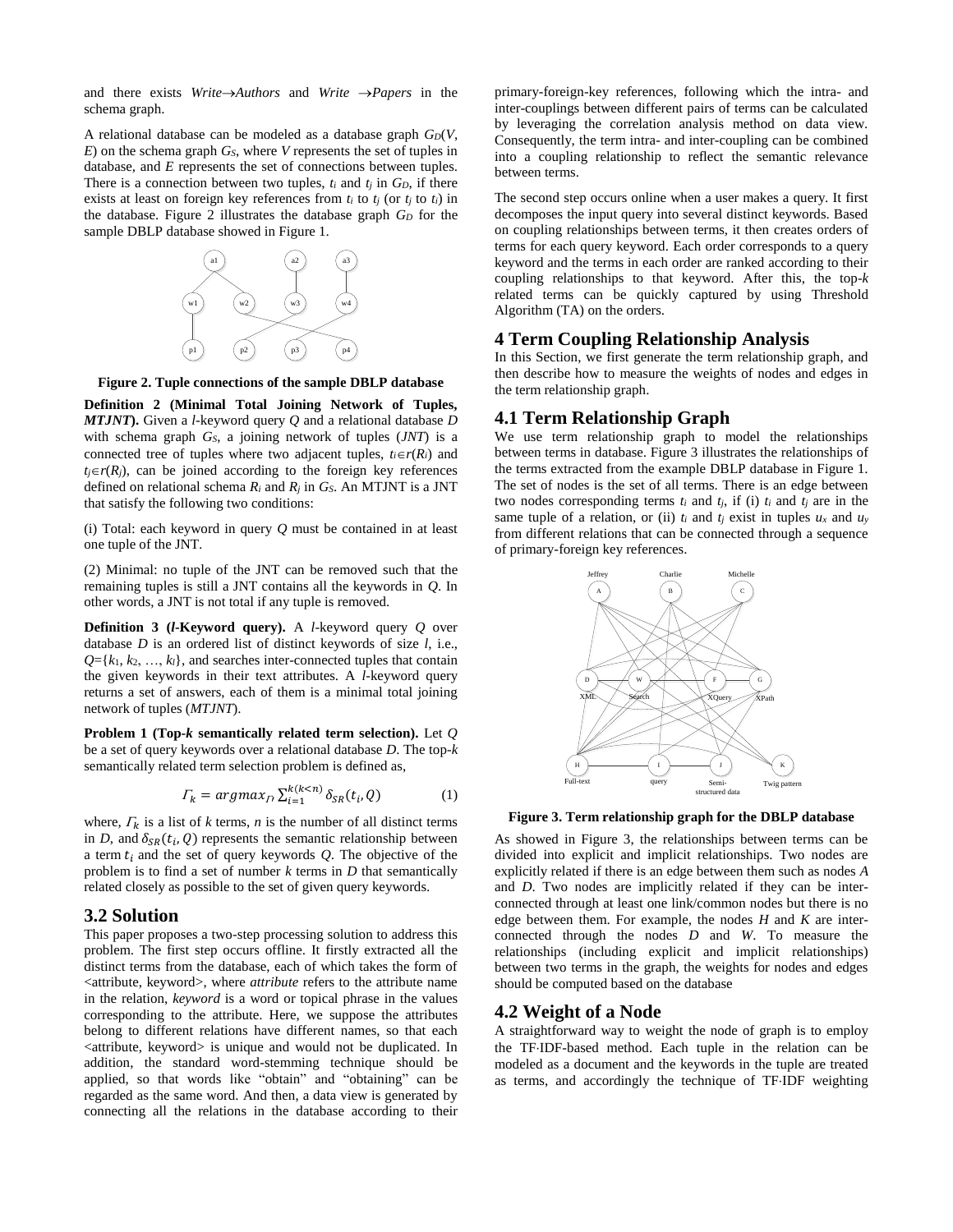and there exists *Write* $\rightarrow$ *Authors* and *Write*  $\rightarrow$ *Papers* in the schema graph.

A relational database can be modeled as a database graph *GD*(*V*, *E*) on the schema graph *GS*, where *V* represents the set of tuples in database, and *E* represents the set of connections between tuples. There is a connection between two tuples,  $t_i$  and  $t_j$  in  $G_D$ , if there exists at least on foreign key references from  $t_i$  to  $t_j$  (or  $t_j$  to  $t_i$ ) in the database. Figure 2 illustrates the database graph *G<sup>D</sup>* for the sample DBLP database showed in Figure 1.



**Figure 2. Tuple connections of the sample DBLP database**

**Definition 2 (Minimal Total Joining Network of Tuples,**  *MTJNT***).** Given a *l*-keyword query *Q* and a relational database *D* with schema graph *GS*, a joining network of tuples (*JNT*) is a connected tree of tuples where two adjacent tuples,  $t_i \in r(R_i)$  and  $t_j \in r(R_j)$ , can be joined according to the foreign key references defined on relational schema  $R_i$  and  $R_j$  in  $G_s$ . An MTJNT is a JNT that satisfy the following two conditions:

(i) Total: each keyword in query *Q* must be contained in at least one tuple of the JNT.

(2) Minimal: no tuple of the JNT can be removed such that the remaining tuples is still a JNT contains all the keywords in *Q*. In other words, a JNT is not total if any tuple is removed.

**Definition 3 (***l***-Keyword query).** A *l*-keyword query *Q* over database *D* is an ordered list of distinct keywords of size *l*, i.e.,  $Q = \{k_1, k_2, \ldots, k_l\}$ , and searches inter-connected tuples that contain the given keywords in their text attributes. A *l*-keyword query returns a set of answers, each of them is a minimal total joining network of tuples (*MTJNT*).

**Problem 1 (Top-***k* **semantically related term selection).** Let *Q* be a set of query keywords over a relational database *D*. The top-*k* semantically related term selection problem is defined as,

$$
\Gamma_k = \arg\max_{\Gamma} \sum_{i=1}^{k(k < n)} \delta_{SR}(t_i, Q) \tag{1}
$$

where,  $\Gamma_k$  is a list of  $k$  terms,  $n$  is the number of all distinct terms in *D*, and  $\delta_{SR}(t_i, Q)$  represents the semantic relationship between a term  $t_i$  and the set of query keywords  $Q$ . The objective of the problem is to find a set of number *k* terms in *D* that semantically related closely as possible to the set of given query keywords.

#### **3.2 Solution**

This paper proposes a two-step processing solution to address this problem. The first step occurs offline. It firstly extracted all the distinct terms from the database, each of which takes the form of <attribute, keyword>, where *attribute* refers to the attribute name in the relation, *keyword* is a word or topical phrase in the values corresponding to the attribute. Here, we suppose the attributes belong to different relations have different names, so that each <attribute, keyword> is unique and would not be duplicated. In addition, the standard word-stemming technique should be applied, so that words like "obtain" and "obtaining" can be regarded as the same word. And then, a data view is generated by connecting all the relations in the database according to their

primary-foreign-key references, following which the intra- and inter-couplings between different pairs of terms can be calculated by leveraging the correlation analysis method on data view. Consequently, the term intra- and inter-coupling can be combined into a coupling relationship to reflect the semantic relevance between terms.

The second step occurs online when a user makes a query. It first decomposes the input query into several distinct keywords. Based on coupling relationships between terms, it then creates orders of terms for each query keyword. Each order corresponds to a query keyword and the terms in each order are ranked according to their coupling relationships to that keyword. After this, the top-*k* related terms can be quickly captured by using Threshold Algorithm (TA) on the orders.

#### **4 Term Coupling Relationship Analysis**

In this Section, we first generate the term relationship graph, and then describe how to measure the weights of nodes and edges in the term relationship graph.

#### **4.1 Term Relationship Graph**

We use term relationship graph to model the relationships between terms in database. Figure 3 illustrates the relationships of the terms extracted from the example DBLP database in Figure 1. The set of nodes is the set of all terms. There is an edge between two nodes corresponding terms  $t_i$  and  $t_j$ , if (i)  $t_i$  and  $t_j$  are in the same tuple of a relation, or (ii)  $t_i$  and  $t_j$  exist in tuples  $u_x$  and  $u_y$ from different relations that can be connected through a sequence of primary-foreign key references.



**Figure 3. Term relationship graph for the DBLP database**

As showed in Figure 3, the relationships between terms can be divided into explicit and implicit relationships. Two nodes are explicitly related if there is an edge between them such as nodes *A* and *D*. Two nodes are implicitly related if they can be interconnected through at least one link/common nodes but there is no edge between them. For example, the nodes *H* and *K* are interconnected through the nodes *D* and *W*. To measure the relationships (including explicit and implicit relationships) between two terms in the graph, the weights for nodes and edges should be computed based on the database

#### **4.2 Weight of a Node**

A straightforward way to weight the node of graph is to employ the TF-IDF-based method. Each tuple in the relation can be modeled as a document and the keywords in the tuple are treated as terms, and accordingly the technique of TF-IDF weighting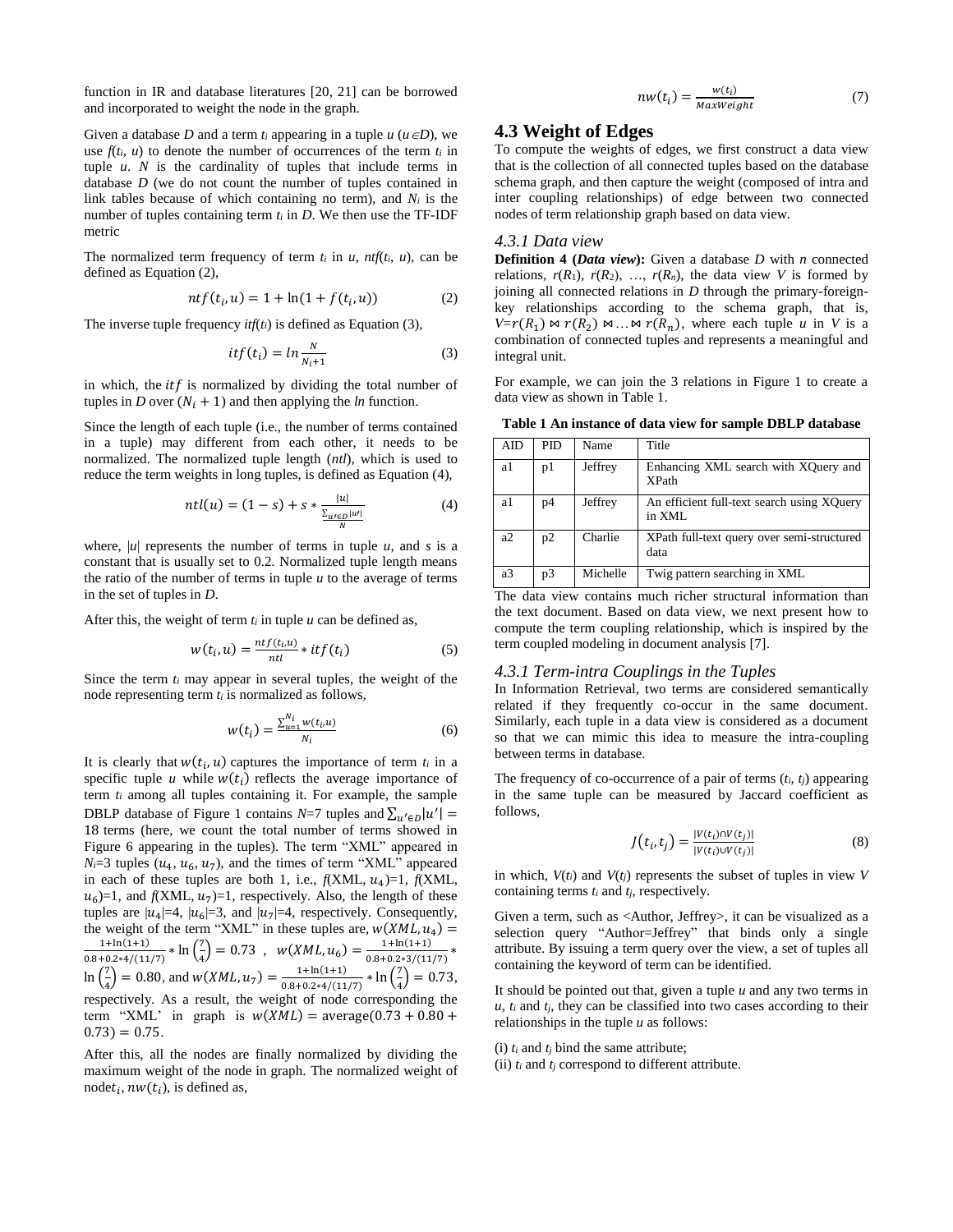function in IR and database literatures [20, 21] can be borrowed and incorporated to weight the node in the graph.

Given a database *D* and a term  $t_i$  appearing in a tuple  $u$  ( $u \in D$ ), we use  $f(t_i, u)$  to denote the number of occurrences of the term  $t_i$  in tuple  $u$ .  $N$  is the cardinality of tuples that include terms in database *D* (we do not count the number of tuples contained in link tables because of which containing no term), and  $N_i$  is the number of tuples containing term  $t_i$  in  $D$ . We then use the TF-IDF metric

The normalized term frequency of term  $t_i$  in  $u$ ,  $ntf(t_i, u)$ , can be defined as Equation (2),

$$
ntf(t_i, u) = 1 + \ln(1 + f(t_i, u))
$$
 (2)

The inverse tuple frequency  $it f(t_i)$  is defined as Equation (3),

$$
itf(t_i) = \ln \frac{N}{N_i + 1} \tag{3}
$$

in which, the  $itf$  is normalized by dividing the total number of tuples in *D* over  $(N_i + 1)$  and then applying the *ln* function.

Since the length of each tuple (i.e., the number of terms contained in a tuple) may different from each other, it needs to be normalized. The normalized tuple length (*ntl*), which is used to reduce the term weights in long tuples, is defined as Equation (4),

$$
ntl(u) = (1 - s) + s * \frac{|u|}{\frac{\sum_{u' \in D} |u'|}{N}}
$$
(4)

where,  $|u|$  represents the number of terms in tuple  $u$ , and  $s$  is a constant that is usually set to 0.2. Normalized tuple length means the ratio of the number of terms in tuple  $u$  to the average of terms in the set of tuples in *D*.

After this, the weight of term  $t_i$  in tuple  $u$  can be defined as,

$$
w(t_i, u) = \frac{ntf(t_i, u)}{ntl} * itf(t_i)
$$
\n(5)

Since the term *t<sup>i</sup>* may appear in several tuples, the weight of the node representing term *t<sup>i</sup>* is normalized as follows,

$$
w(t_i) = \frac{\sum_{u=1}^{N_i} w(t_i, u)}{N_i}
$$
 (6)

It is clearly that  $w(t_i, u)$  captures the importance of term  $t_i$  in a specific tuple  $u$  while  $w(t_i)$  reflects the average importance of term *t<sup>i</sup>* among all tuples containing it. For example, the sample DBLP database of Figure 1 contains *N*=7 tuples and  $\sum_{u' \in D} |u'|$  = 18 terms (here, we count the total number of terms showed in Figure 6 appearing in the tuples). The term "XML" appeared in  $N_i=3$  tuples  $(u_4, u_6, u_7)$ , and the times of term "XML" appeared in each of these tuples are both 1, i.e.,  $f(XML, u_4)=1$ ,  $f(XML, u_5)=1$ ,  $f(XML, u_6)=1$  $u_6$ )=1, and  $f(XML, u_7)$ =1, respectively. Also, the length of these tuples are  $|u_4|=4$ ,  $|u_6|=3$ , and  $|u_7|=4$ , respectively. Consequently, the weight of the term "XML" in these tuples are,  $w(XML, u_4)$  = 1+ln(1+1)  $\frac{1+\ln(1+1)}{0.8+0.2*4/(11/7)}*\ln\left(\frac{7}{4}\right)$  $\left(\frac{7}{4}\right) = 0.73$ ,  $w(XML, u_6) = \frac{1 + \ln(1+1)}{0.8 + 0.2 * 3/(11)}$  $\frac{1+\ln(1+1)}{0.8+0.2*3/(11/7)}*$  $\ln\left(\frac{7}{4}\right)$  $\left(\frac{7}{4}\right)$  = 0.80, and  $w(XML, u_7) = \frac{1+\ln(1+1)}{0.8+0.2*4/(11)}$  $\frac{1+\ln(1+1)}{0.8+0.2*4/(11/7)}*\ln\left(\frac{7}{4}\right)$  $\frac{7}{4}$  = 0.73, respectively. As a result, the weight of node corresponding the term "XML' in graph is  $w(XML) = average(0.73 + 0.80 +$  $0.73$ ) = 0.75.

After this, all the nodes are finally normalized by dividing the maximum weight of the node in graph. The normalized weight of node $t_i$ ,  $nw(t_i)$ , is defined as,

$$
nw(t_i) = \frac{w(t_i)}{MaxWeight}
$$
 (7)

#### **4.3 Weight of Edges**

To compute the weights of edges, we first construct a data view that is the collection of all connected tuples based on the database schema graph, and then capture the weight (composed of intra and inter coupling relationships) of edge between two connected nodes of term relationship graph based on data view.

#### *4.3.1 Data view*

**Definition 4 (***Data view***):** Given a database *D* with *n* connected relations,  $r(R_1)$ ,  $r(R_2)$ , ...,  $r(R_n)$ , the data view *V* is formed by joining all connected relations in *D* through the primary-foreignkey relationships according to the schema graph, that is,  $V=r(R_1) \bowtie r(R_2) \bowtie ... \bowtie r(R_n)$ , where each tuple *u* in *V* is a combination of connected tuples and represents a meaningful and integral unit.

For example, we can join the 3 relations in Figure 1 to create a data view as shown in Table 1.

| AID            | <b>PID</b> | Name     | Title                                                |
|----------------|------------|----------|------------------------------------------------------|
| a1             | рl         | Jeffrey  | Enhancing XML search with XQuery and<br><b>XPath</b> |
| a1             | p4         | Jeffrey  | An efficient full-text search using XOuery<br>in XML |
| a2             | p2         | Charlie  | XPath full-text query over semi-structured<br>data   |
| a <sub>3</sub> | p3         | Michelle | Twig pattern searching in XML                        |

**Table 1 An instance of data view for sample DBLP database**

The data view contains much richer structural information than the text document. Based on data view, we next present how to compute the term coupling relationship, which is inspired by the term coupled modeling in document analysis [7].

#### *4.3.1 Term-intra Couplings in the Tuples*

In Information Retrieval, two terms are considered semantically related if they frequently co-occur in the same document. Similarly, each tuple in a data view is considered as a document so that we can mimic this idea to measure the intra-coupling between terms in database.

The frequency of co-occurrence of a pair of terms  $(t_i, t_j)$  appearing in the same tuple can be measured by Jaccard coefficient as follows,

$$
J(t_i, t_j) = \frac{|V(t_i) \cap V(t_j)|}{|V(t_i) \cup V(t_j)|}
$$
(8)

in which,  $V(t_i)$  and  $V(t_j)$  represents the subset of tuples in view V containing terms *t<sup>i</sup>* and *tj*, respectively.

Given a term, such as <Author, Jeffrey>, it can be visualized as a selection query "Author=Jeffrey" that binds only a single attribute. By issuing a term query over the view, a set of tuples all containing the keyword of term can be identified.

It should be pointed out that, given a tuple *u* and any two terms in *u*, *t<sup>i</sup>* and *tj*, they can be classified into two cases according to their relationships in the tuple *u* as follows:

(i) *t<sup>i</sup>* and *t<sup>j</sup>* bind the same attribute;

(ii) *t<sup>i</sup>* and *t<sup>j</sup>* correspond to different attribute.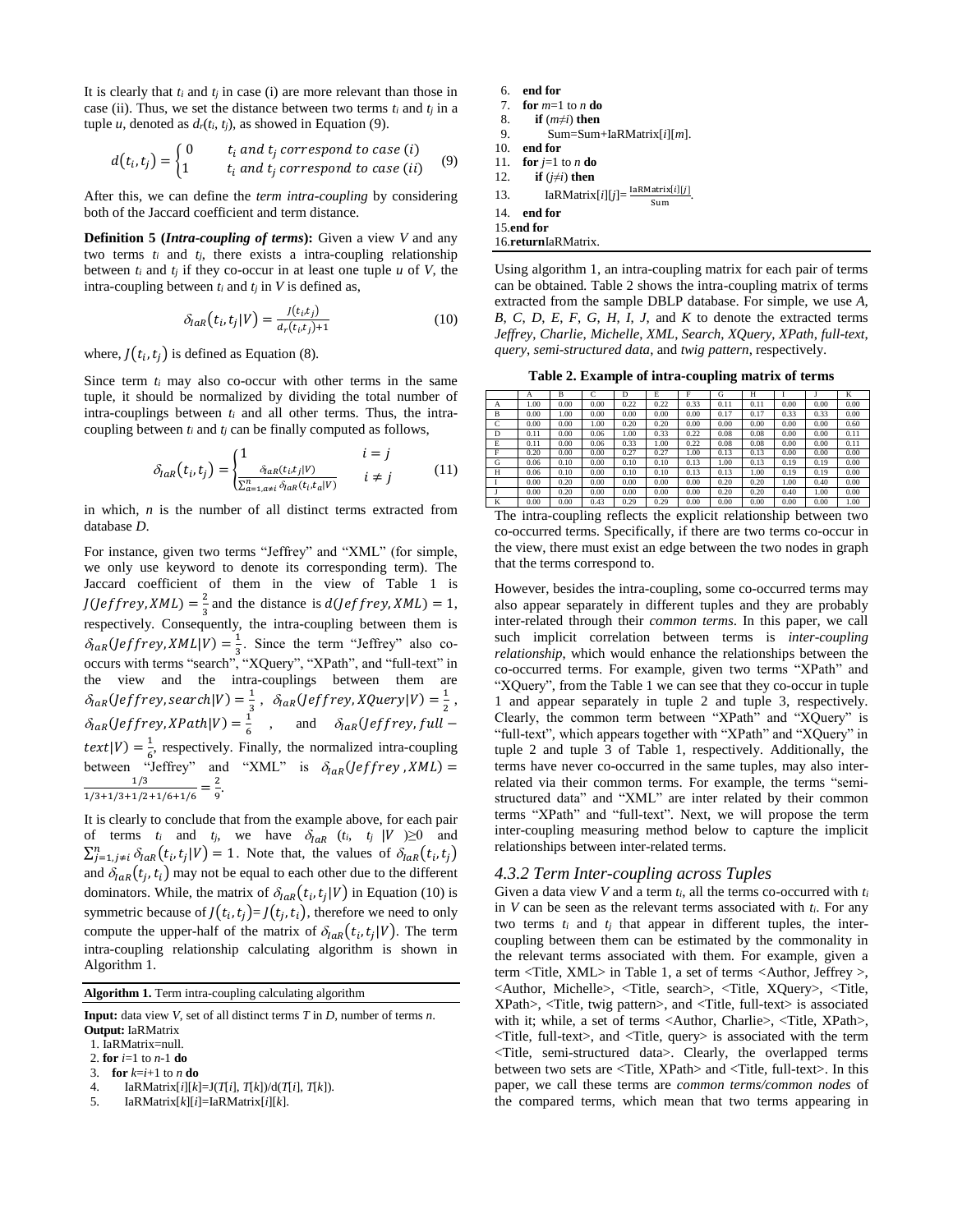It is clearly that *t<sup>i</sup>* and *t<sup>j</sup>* in case (i) are more relevant than those in case (ii). Thus, we set the distance between two terms  $t_i$  and  $t_j$  in a tuple *u*, denoted as  $d_r(t_i, t_i)$ , as showed in Equation (9).

$$
d(t_i, t_j) = \begin{cases} 0 & t_i \text{ and } t_j \text{ correspond to case (i)} \\ 1 & t_i \text{ and } t_j \text{ correspond to case (ii)} \end{cases}
$$
 (9)

After this, we can define the *term intra-coupling* by considering both of the Jaccard coefficient and term distance.

**Definition 5 (***Intra-coupling of terms***):** Given a view *V* and any two terms  $t_i$  and  $t_j$ , there exists a intra-coupling relationship between  $t_i$  and  $t_j$  if they co-occur in at least one tuple  $u$  of  $V$ , the intra-coupling between *t<sup>i</sup>* and *t<sup>j</sup>* in *V* is defined as,

$$
\delta_{l a R}(t_i, t_j | V) = \frac{J(t_i, t_j)}{d_r(t_i, t_j) + 1} \tag{10}
$$

where,  $J(t_i, t_j)$  is defined as Equation (8).

Since term  $t_i$  may also co-occur with other terms in the same tuple, it should be normalized by dividing the total number of intra-couplings between *t<sup>i</sup>* and all other terms. Thus, the intracoupling between *t<sup>i</sup>* and *t<sup>j</sup>* can be finally computed as follows,

$$
\delta_{IaR}(t_i, t_j) = \begin{cases}\n1 & i = j \\
\frac{\delta_{IaR}(t_i, t_j | V)}{\sum_{a=1, a \neq i}^n \delta_{IaR}(t_i, t_a | V)} & i \neq j\n\end{cases}
$$
\n(11)

in which, *n* is the number of all distinct terms extracted from database *D*.

For instance, given two terms "Jeffrey" and "XML" (for simple, we only use keyword to denote its corresponding term). The Jaccard coefficient of them in the view of Table 1 is  $J(Jeffrey, XML) = \frac{2}{3}$  $\frac{2}{3}$  and the distance is  $d(Jeffrey, XML) = 1$ , respectively. Consequently, the intra-coupling between them is  $\delta_{IaR}(Jeffrey, XML|V) = \frac{1}{3}$  $\frac{1}{3}$ . Since the term "Jeffrey" also cooccurs with terms "search", "XQuery", "XPath", and "full-text" in the view and the intra-couplings between them are  $\delta_{IaR}(Jeffrey, search|V) = \frac{1}{3}$  $\frac{1}{3}$ ,  $\delta_{IaR} (Jeffrey, XQuery|V) = \frac{1}{2}$  $\frac{1}{2}$ ,  $\delta_{IaR} (Jeffrey, XPath | V) = \frac{1}{6}$  $\frac{1}{6}$ , and  $\delta_{IaR}(Jeffrey, full$  $text(V) = \frac{1}{e}$ , respectively. Finally, the normalized intra-coupling between "Jeffrey" and "XML" is  $\delta_{IaR}(Jeffrey, XML) =$ <br>  $^{1/3}$   $^{2}$  $\frac{1/3}{1/3+1/3+1/2+1/6+1/6} = \frac{2}{9}$ 9 .

It is clearly to conclude that from the example above, for each pair of terms  $t_i$  and  $t_j$ , we have  $\delta_{IaR}$   $(t_i, t_j | V) \ge 0$  and  $\sum_{j=1, j\neq i}^{n} \delta_{IaR}(t_i, t_j | V) = 1$ . Note that, the values of  $\delta_{IaR}(t_i, t_j)$ and  $\delta_{IaR}(t_j, t_i)$  may not be equal to each other due to the different dominators. While, the matrix of  $\delta_{IaR}(t_i, t_j|V)$  in Equation (10) is symmetric because of  $J(t_i, t_j) = J(t_j, t_i)$ , therefore we need to only compute the upper-half of the matrix of  $\delta_{IaR}(t_i, t_j|V)$ . The term intra-coupling relationship calculating algorithm is shown in Algorithm 1.

**Algorithm 1.** Term intra-coupling calculating algorithm

**Input:** data view *V*, set of all distinct terms *T* in *D*, number of terms *n*.

- 
- 4. IaRMatrix[*i*][*k*]=J(*T*[*i*], *T*[*k*])/d(*T*[*i*], *T*[*k*]).
- 5. IaRMatrix[*k*][*i*]=IaRMatrix[*i*][*k*].
- 6. **end for**
- 7. **for**  $m=1$  to *n* **do**<br>8. **if**  $(m\neq i)$  **then**
- 8. **if** (*m*≠*i*) **then**
- 9. Sum=Sum+IaRMatrix[*i*][*m*]. 10. **end for**
- 11. **for**  $j=1$  to  $n$  **do**
- 12. **if**  $(j\neq i)$  **then**
- 
- 13. IaRMatrix $[i][j] = \frac{\text{IaRMatrix}[i][j]}{\text{Sum}}$ .
- 14. **end for**

15.**end for**

16.**return**IaRMatrix.

Using algorithm 1, an intra-coupling matrix for each pair of terms can be obtained. Table 2 shows the intra-coupling matrix of terms extracted from the sample DBLP database. For simple, we use *A*, *B*, *C*, *D*, *E*, *F*, *G*, *H*, *I*, *J*, and *K* to denote the extracted terms *Jeffrey*, *Charlie*, *Michelle*, *XML*, *Search*, *XQuery*, *XPath*, *full-text*, *query*, *semi-structured data*, and *twig pattern*, respectively.

**Table 2. Example of intra-coupling matrix of terms**

|   | А    | B    | C    | D    | E    | F    | G    | H    |      |      | K    |
|---|------|------|------|------|------|------|------|------|------|------|------|
| А | 1.00 | 0.00 | 0.00 | 0.22 | 0.22 | 0.33 | 0.11 | 0.11 | 0.00 | 0.00 | 0.00 |
| в | 0.00 | 1.00 | 0.00 | 0.00 | 0.00 | 0.00 | 0.17 | 0.17 | 0.33 | 0.33 | 0.00 |
|   | 0.00 | 0.00 | 1.00 | 0.20 | 0.20 | 0.00 | 0.00 | 0.00 | 0.00 | 0.00 | 0.60 |
| D | 0.11 | 0.00 | 0.06 | 1.00 | 0.33 | 0.22 | 0.08 | 0.08 | 0.00 | 0.00 | 0.11 |
| E | 0.11 | 0.00 | 0.06 | 0.33 | 1.00 | 0.22 | 0.08 | 0.08 | 0.00 | 0.00 | 0.11 |
| F | 0.20 | 0.00 | 0.00 | 0.27 | 0.27 | 1.00 | 0.13 | 0.13 | 0.00 | 0.00 | 0.00 |
| G | 0.06 | 0.10 | 0.00 | 0.10 | 0.10 | 0.13 | 1.00 | 0.13 | 0.19 | 0.19 | 0.00 |
| Н | 0.06 | 0.10 | 0.00 | 0.10 | 0.10 | 0.13 | 0.13 | 1.00 | 0.19 | 0.19 | 0.00 |
|   | 0.00 | 0.20 | 0.00 | 0.00 | 0.00 | 0.00 | 0.20 | 0.20 | 1.00 | 0.40 | 0.00 |
|   | 0.00 | 0.20 | 0.00 | 0.00 | 0.00 | 0.00 | 0.20 | 0.20 | 0.40 | 1.00 | 0.00 |
| к | 0.00 | 0.00 | 0.43 | 0.29 | 0.29 | 0.00 | 0.00 | 0.00 | 0.00 | 0.00 | 1.00 |

The intra-coupling reflects the explicit relationship between two co-occurred terms. Specifically, if there are two terms co-occur in the view, there must exist an edge between the two nodes in graph that the terms correspond to.

However, besides the intra-coupling, some co-occurred terms may also appear separately in different tuples and they are probably inter-related through their *common terms*. In this paper, we call such implicit correlation between terms is *inter-coupling relationship*, which would enhance the relationships between the co-occurred terms. For example, given two terms "XPath" and "XQuery", from the Table 1 we can see that they co-occur in tuple 1 and appear separately in tuple 2 and tuple 3, respectively. Clearly, the common term between "XPath" and "XQuery" is "full-text", which appears together with "XPath" and "XQuery" in tuple 2 and tuple 3 of Table 1, respectively. Additionally, the terms have never co-occurred in the same tuples, may also interrelated via their common terms. For example, the terms "semistructured data" and "XML" are inter related by their common terms "XPath" and "full-text". Next, we will propose the term inter-coupling measuring method below to capture the implicit relationships between inter-related terms.

#### *4.3.2 Term Inter-coupling across Tuples*

Given a data view *V* and a term  $t_i$ , all the terms co-occurred with  $t_i$ in *V* can be seen as the relevant terms associated with *ti*. For any two terms  $t_i$  and  $t_j$  that appear in different tuples, the intercoupling between them can be estimated by the commonality in the relevant terms associated with them. For example, given a term <Title, XML> in Table 1, a set of terms *<*Author, Jeffrey >, <Author, Michelle>, <Title, search>, <Title, XQuery>, <Title, XPath>, <Title, twig pattern>, and <Title, full-text> is associated with it; while, a set of terms <Author, Charlie>, <Title, XPath>, <Title, full-text>, and <Title, query> is associated with the term <Title, semi-structured data>. Clearly, the overlapped terms between two sets are <Title, XPath> and <Title, full-text>. In this paper, we call these terms are *common terms/common nodes* of the compared terms, which mean that two terms appearing in

**Output:** IaRMatrix

<sup>1.</sup> IaRMatrix=null.

<sup>2.</sup> **for** *i*=1 to *n*-1 **do** 3. **for** *k*=*i*+1 to *n* **do**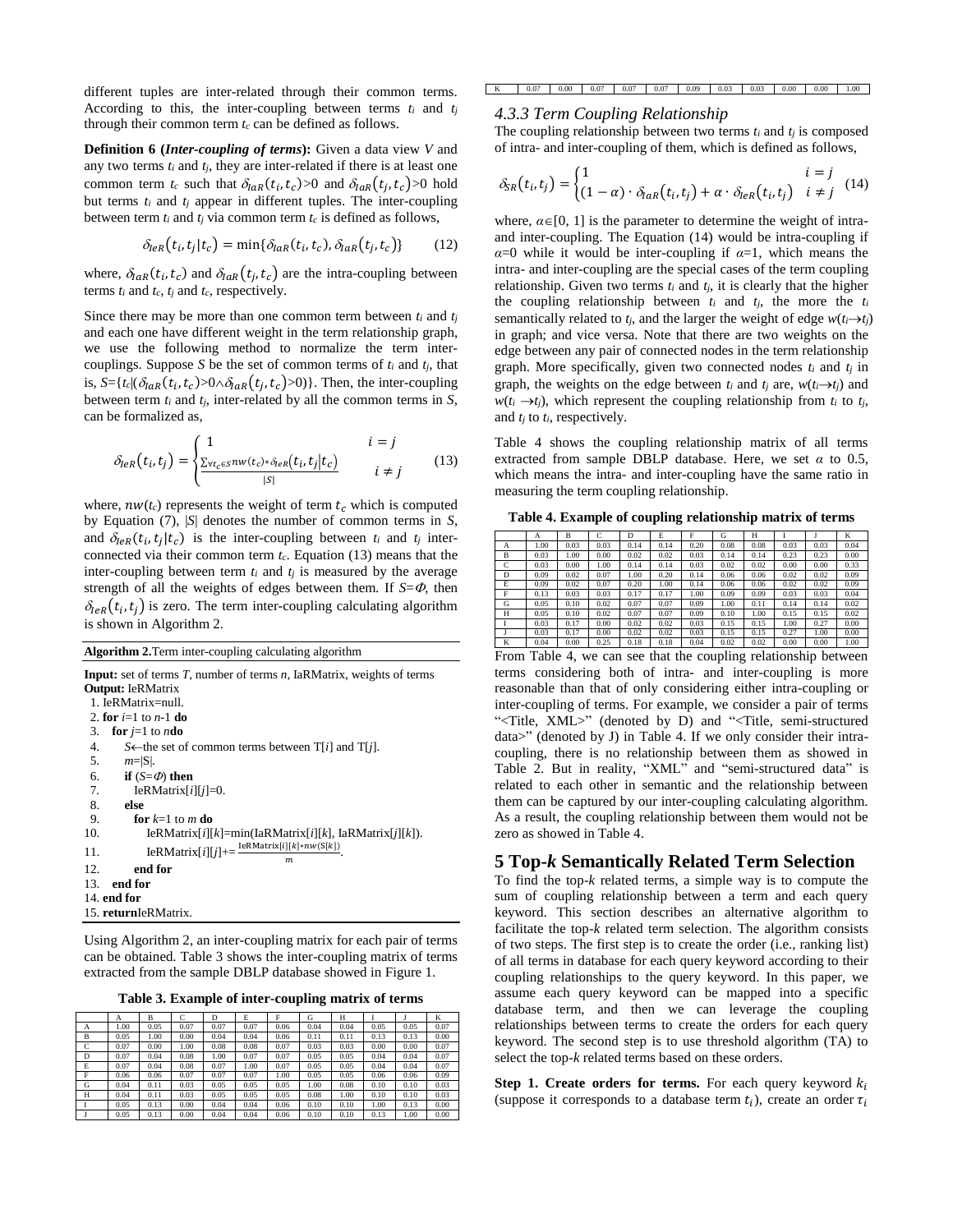different tuples are inter-related through their common terms. According to this, the inter-coupling between terms *t<sup>i</sup>* and *t<sup>j</sup>* through their common term *t<sup>c</sup>* can be defined as follows.

**Definition 6 (***Inter-coupling of terms***):** Given a data view *V* and any two terms *t<sup>i</sup>* and *tj*, they are inter-related if there is at least one common term  $t_c$  such that  $\delta_{IaR}(t_i, t_c) > 0$  and  $\delta_{IaR}(t_j, t_c) > 0$  hold but terms *t<sup>i</sup>* and *t<sup>j</sup>* appear in different tuples. The inter-coupling between term  $t_i$  and  $t_j$  via common term  $t_c$  is defined as follows,

$$
\delta_{leR}(t_i, t_j | t_c) = \min\{\delta_{IaR}(t_i, t_c), \delta_{IaR}(t_j, t_c)\}\tag{12}
$$

where,  $\delta_{IaR}(t_i, t_c)$  and  $\delta_{IaR}(t_j, t_c)$  are the intra-coupling between terms  $t_i$  and  $t_c$ ,  $t_j$  and  $t_c$ , respectively.

Since there may be more than one common term between *t<sup>i</sup>* and *t<sup>j</sup>* and each one have different weight in the term relationship graph, we use the following method to normalize the term intercouplings. Suppose *S* be the set of common terms of  $t_i$  and  $t_j$ , that is,  $S = \{t_c | (\delta_{IaR}(t_i, t_c) > 0 \land \delta_{IaR}(t_j, t_c) > 0)\}\.$  Then, the inter-coupling between term *t<sup>i</sup>* and *tj*, inter-related by all the common terms in *S*, can be formalized as,

$$
\delta_{leR}(t_i, t_j) = \begin{cases}\n1 & i = j \\
\frac{\sum_{\forall t_c \in S} n w(t_c) * \delta_{leR}(t_i, t_j | t_c)}{|S|} & i \neq j\n\end{cases}
$$
\n(13)

where,  $nw(t_c)$  represents the weight of term  $t_c$  which is computed by Equation (7), |*S*| denotes the number of common terms in *S*, and  $\delta_{leR}(t_i, t_j | t_c)$  is the inter-coupling between  $t_i$  and  $t_j$  interconnected via their common term *tc*. Equation (13) means that the inter-coupling between term  $t_i$  and  $t_j$  is measured by the average strength of all the weights of edges between them. If  $S = \Phi$ , then  $\delta_{\text{I}eR}(t_i, t_j)$  is zero. The term inter-coupling calculating algorithm is shown in Algorithm 2.

**Algorithm 2.**Term inter-coupling calculating algorithm

| <b>Input:</b> set of terms $T$ , number of terms $n$ , IaRMatrix, weights of terms     |  |  |  |  |  |  |  |  |
|----------------------------------------------------------------------------------------|--|--|--|--|--|--|--|--|
| <b>Output:</b> IeRMatrix                                                               |  |  |  |  |  |  |  |  |
| 1. $IeRMatrix=null$ .                                                                  |  |  |  |  |  |  |  |  |
| 2. for $i=1$ to $n-1$ do                                                               |  |  |  |  |  |  |  |  |
| for $j=1$ to ndo<br>3.                                                                 |  |  |  |  |  |  |  |  |
| 4.<br>S—the set of common terms between $T[i]$ and $T[j]$ .                            |  |  |  |  |  |  |  |  |
| 5.<br>$m= S $ .                                                                        |  |  |  |  |  |  |  |  |
| 6.<br>if $(S = \Phi)$ then                                                             |  |  |  |  |  |  |  |  |
| 7.<br>$IekMatrix[i][j]=0.$                                                             |  |  |  |  |  |  |  |  |
| 8.<br>else                                                                             |  |  |  |  |  |  |  |  |
| 9.<br>for $k=1$ to m do                                                                |  |  |  |  |  |  |  |  |
| 10.<br>IeRMatrix[i][k]=min(IaRMatrix[i][k], IaRMatrix[j][k]).                          |  |  |  |  |  |  |  |  |
| IeRMatrix[i][j] + = $\frac{IeRMatrix[i][k]*nw(S[k])}{Ie}$ .<br>11.<br>$\boldsymbol{m}$ |  |  |  |  |  |  |  |  |
| 12.<br>end for                                                                         |  |  |  |  |  |  |  |  |
| 13.<br>end for                                                                         |  |  |  |  |  |  |  |  |
| $14.$ end for                                                                          |  |  |  |  |  |  |  |  |
| 15. returnIeRMatrix.                                                                   |  |  |  |  |  |  |  |  |

Using Algorithm 2, an inter-coupling matrix for each pair of terms can be obtained. Table 3 shows the inter-coupling matrix of terms extracted from the sample DBLP database showed in Figure 1.

**Table 3. Example of inter-coupling matrix of terms**

|   | A    | B    | C    | D    | E    | F    | G    | H    |      |      | K    |
|---|------|------|------|------|------|------|------|------|------|------|------|
| А | 1.00 | 0.05 | 0.07 | 0.07 | 0.07 | 0.06 | 0.04 | 0.04 | 0.05 | 0.05 | 0.07 |
| B | 0.05 | 1.00 | 0.00 | 0.04 | 0.04 | 0.06 | 0.11 | 0.11 | 0.13 | 0.13 | 0.00 |
| C | 0.07 | 0.00 | 1.00 | 0.08 | 0.08 | 0.07 | 0.03 | 0.03 | 0.00 | 0.00 | 0.07 |
| D | 0.07 | 0.04 | 0.08 | 1.00 | 0.07 | 0.07 | 0.05 | 0.05 | 0.04 | 0.04 | 0.07 |
| E | 0.07 | 0.04 | 0.08 | 0.07 | 1.00 | 0.07 | 0.05 | 0.05 | 0.04 | 0.04 | 0.07 |
| F | 0.06 | 0.06 | 0.07 | 0.07 | 0.07 | 1.00 | 0.05 | 0.05 | 0.06 | 0.06 | 0.09 |
| G | 0.04 | 0.11 | 0.03 | 0.05 | 0.05 | 0.05 | 1.00 | 0.08 | 0.10 | 0.10 | 0.03 |
| H | 0.04 | 0.11 | 0.03 | 0.05 | 0.05 | 0.05 | 0.08 | 1.00 | 0.10 | 0.10 | 0.03 |
|   | 0.05 | 0.13 | 0.00 | 0.04 | 0.04 | 0.06 | 0.10 | 0.10 | 1.00 | 0.13 | 0.00 |
|   | 0.05 | 0.13 | 0.00 | 0.04 | 0.04 | 0.06 | 0.10 | 0.10 | 0.13 | 1.00 | 0.00 |



#### *4.3.3 Term Coupling Relationship*

The coupling relationship between two terms  $t_i$  and  $t_j$  is composed of intra- and inter-coupling of them, which is defined as follows,

$$
\delta_{SR}(t_i, t_j) = \begin{cases} 1 & i = j \\ (1 - \alpha) \cdot \delta_{IaR}(t_i, t_j) + \alpha \cdot \delta_{IeR}(t_i, t_j) & i \neq j \end{cases}
$$
(14)

where,  $\alpha \in [0, 1]$  is the parameter to determine the weight of intraand inter-coupling. The Equation (14) would be intra-coupling if  $\alpha=0$  while it would be inter-coupling if  $\alpha=1$ , which means the intra- and inter-coupling are the special cases of the term coupling relationship. Given two terms  $t_i$  and  $t_j$ , it is clearly that the higher the coupling relationship between  $t_i$  and  $t_j$ , the more the  $t_i$ semantically related to  $t_i$ , and the larger the weight of edge  $w(t_i \rightarrow t_i)$ in graph; and vice versa. Note that there are two weights on the edge between any pair of connected nodes in the term relationship graph. More specifically, given two connected nodes *t<sup>i</sup>* and *t<sup>j</sup>* in graph, the weights on the edge between  $t_i$  and  $t_j$  are,  $w(t_i \rightarrow t_j)$  and  $w(t_i \rightarrow t_j)$ , which represent the coupling relationship from  $t_i$  to  $t_j$ , and *t<sup>j</sup>* to *ti*, respectively.

Table 4 shows the coupling relationship matrix of all terms extracted from sample DBLP database. Here, we set *α* to 0.5, which means the intra- and inter-coupling have the same ratio in measuring the term coupling relationship.

**Table 4. Example of coupling relationship matrix of terms** 

|   | A    | B    | $\mathcal{C}$ | D    | E    | F    | G    | н    |      |      | K    |
|---|------|------|---------------|------|------|------|------|------|------|------|------|
| A | 1.00 | 0.03 | 0.03          | 0.14 | 0.14 | 0.20 | 0.08 | 0.08 | 0.03 | 0.03 | 0.04 |
| B | 0.03 | 1.00 | 0.00          | 0.02 | 0.02 | 0.03 | 0.14 | 0.14 | 0.23 | 0.23 | 0.00 |
|   | 0.03 | 0.00 | 1.00          | 0.14 | 0.14 | 0.03 | 0.02 | 0.02 | 0.00 | 0.00 | 0.33 |
| D | 0.09 | 0.02 | 0.07          | 1.00 | 0.20 | 0.14 | 0.06 | 0.06 | 0.02 | 0.02 | 0.09 |
| E | 0.09 | 0.02 | 0.07          | 0.20 | 1.00 | 0.14 | 0.06 | 0.06 | 0.02 | 0.02 | 0.09 |
| F | 0.13 | 0.03 | 0.03          | 0.17 | 0.17 | 1.00 | 0.09 | 0.09 | 0.03 | 0.03 | 0.04 |
| G | 0.05 | 0.10 | 0.02          | 0.07 | 0.07 | 0.09 | 1.00 | 0.11 | 0.14 | 0.14 | 0.02 |
| H | 0.05 | 0.10 | 0.02          | 0.07 | 0.07 | 0.09 | 0.10 | 1.00 | 0.15 | 0.15 | 0.02 |
|   | 0.03 | 0.17 | 0.00          | 0.02 | 0.02 | 0.03 | 0.15 | 0.15 | 1.00 | 0.27 | 0.00 |
|   | 0.03 | 0.17 | 0.00          | 0.02 | 0.02 | 0.03 | 0.15 | 0.15 | 0.27 | 1.00 | 0.00 |
| к | 0.04 | 0.00 | 0.25          | 0.18 | 0.18 | 0.04 | 0.02 | 0.02 | 0.00 | 0.00 | 1.00 |

From Table 4, we can see that the coupling relationship between terms considering both of intra- and inter-coupling is more reasonable than that of only considering either intra-coupling or inter-coupling of terms. For example, we consider a pair of terms "<Title, XML>" (denoted by D) and "<Title, semi-structured data>" (denoted by J) in Table 4. If we only consider their intracoupling, there is no relationship between them as showed in Table 2. But in reality, "XML" and "semi-structured data" is related to each other in semantic and the relationship between them can be captured by our inter-coupling calculating algorithm. As a result, the coupling relationship between them would not be zero as showed in Table 4.

# **5 Top-***k* **Semantically Related Term Selection**

To find the top-*k* related terms, a simple way is to compute the sum of coupling relationship between a term and each query keyword. This section describes an alternative algorithm to facilitate the top-*k* related term selection. The algorithm consists of two steps. The first step is to create the order (i.e., ranking list) of all terms in database for each query keyword according to their coupling relationships to the query keyword. In this paper, we assume each query keyword can be mapped into a specific database term, and then we can leverage the coupling relationships between terms to create the orders for each query keyword. The second step is to use threshold algorithm (TA) to select the top-*k* related terms based on these orders.

**Step 1. Create orders for terms.** For each query keyword  $k_i$ (suppose it corresponds to a database term  $t_i$ ), create an order  $\tau_i$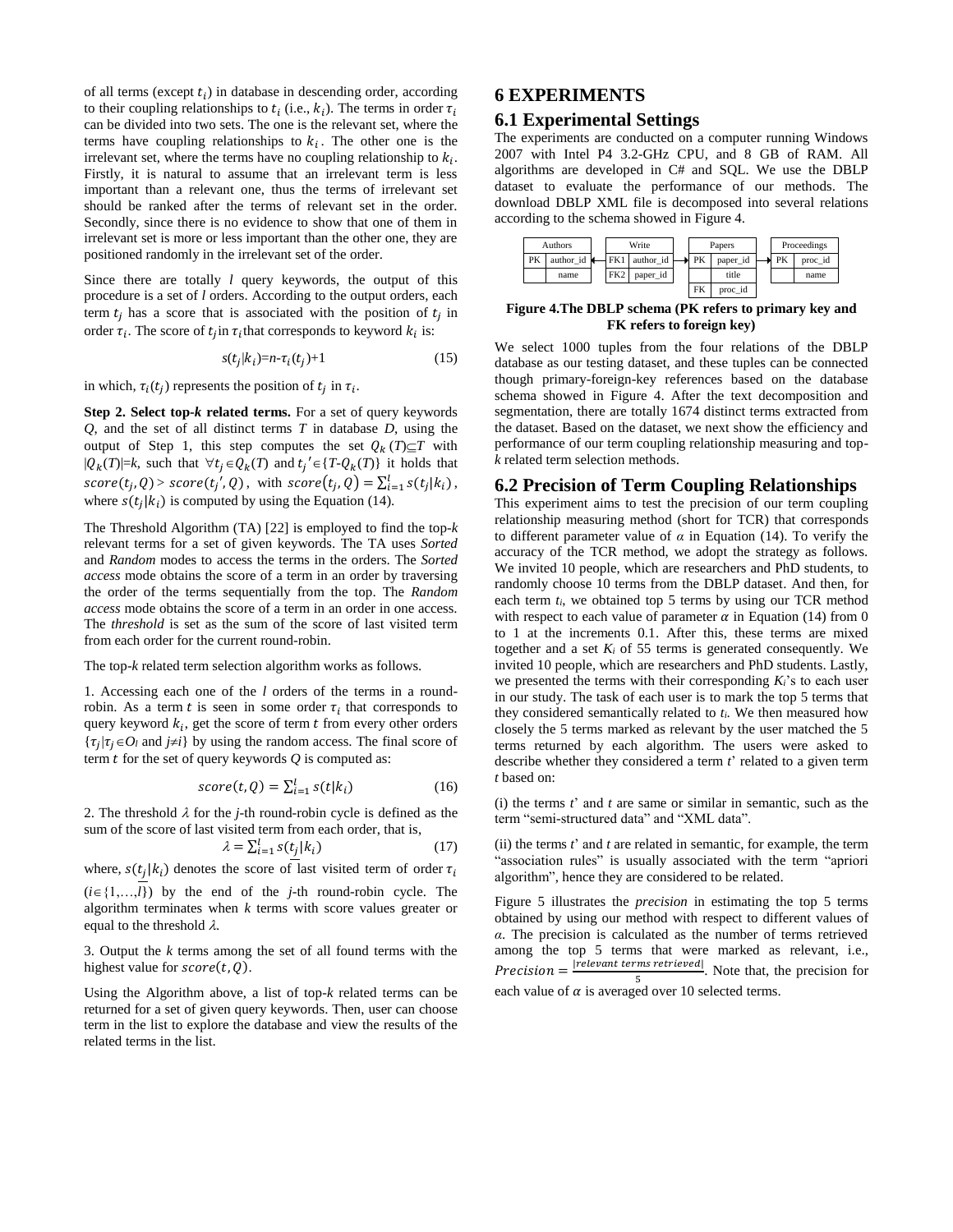of all terms (except  $t_i$ ) in database in descending order, according to their coupling relationships to  $t_i$  (i.e.,  $k_i$ ). The terms in order  $\tau_i$ can be divided into two sets. The one is the relevant set, where the terms have coupling relationships to  $k_i$ . The other one is the irrelevant set, where the terms have no coupling relationship to  $k_i$ . Firstly, it is natural to assume that an irrelevant term is less important than a relevant one, thus the terms of irrelevant set should be ranked after the terms of relevant set in the order. Secondly, since there is no evidence to show that one of them in irrelevant set is more or less important than the other one, they are positioned randomly in the irrelevant set of the order.

Since there are totally *l* query keywords, the output of this procedure is a set of *l* orders. According to the output orders, each term  $t_j$  has a score that is associated with the position of  $t_j$  in order  $\tau_i$ . The score of  $t_j$  in  $\tau_i$  that corresponds to keyword  $k_i$  is:

$$
s(t_j|k_i)=n-\tau_i(t_j)+1
$$
\n(15)

in which,  $\tau_i(t_j)$  represents the position of  $t_j$  in  $\tau_i$ .

**Step 2. Select top-***k* **related terms.** For a set of query keywords *Q*, and the set of all distinct terms *T* in database *D*, using the output of Step 1, this step computes the set  $Q_k(T) \subseteq T$  with  $|Q_k(T)|=k$ , such that  $\forall t_j \in Q_k(T)$  and  $t_j' \in \{T-Q_k(T)\}\$ it holds that  $score(t_j, Q) > score(t_j', Q)$ , with  $score(t_j, Q) = \sum_{i=1}^{l} s(t_j|k_i)$ , where  $s(t_j|k_i)$  is computed by using the Equation (14).

The Threshold Algorithm (TA) [22] is employed to find the top-*k* relevant terms for a set of given keywords. The TA uses *Sorted* and *Random* modes to access the terms in the orders. The *Sorted access* mode obtains the score of a term in an order by traversing the order of the terms sequentially from the top. The *Random access* mode obtains the score of a term in an order in one access. The *threshold* is set as the sum of the score of last visited term from each order for the current round-robin.

The top-*k* related term selection algorithm works as follows.

1. Accessing each one of the *l* orders of the terms in a roundrobin. As a term t is seen in some order  $\tau_i$  that corresponds to query keyword  $k_i$ , get the score of term  $t$  from every other orders  $\{\tau_j | \tau_j \in O_l \text{ and } j \neq i\}$  by using the random access. The final score of term  $t$  for the set of query keywords  $Q$  is computed as:

$$
score(t, Q) = \sum_{i=1}^{l} s(t|k_i)
$$
 (16)

2. The threshold  $\lambda$  for the *j*-th round-robin cycle is defined as the sum of the score of last visited term from each order, that is,

$$
\lambda = \sum_{i=1}^{l} s(\underbar{t_j}|k_i) \tag{17}
$$

where,  $s(t_j|k_i)$  denotes the score of last visited term of order  $\tau_i$  $(i \in \{1,...,l\})$  by the end of the *j*-th round-robin cycle. The algorithm terminates when *k* terms with score values greater or equal to the threshold  $\lambda$ .

3. Output the *k* terms among the set of all found terms with the highest value for  $score(t, Q)$ .

Using the Algorithm above, a list of top-*k* related terms can be returned for a set of given query keywords. Then, user can choose term in the list to explore the database and view the results of the related terms in the list.

# **6 EXPERIMENTS**

# **6.1 Experimental Settings**

The experiments are conducted on a computer running Windows 2007 with Intel P4 3.2-GHz CPU, and 8 GB of RAM. All algorithms are developed in C# and SQL. We use the DBLP dataset to evaluate the performance of our methods. The download DBLP XML file is decomposed into several relations according to the schema showed in Figure 4.



**Figure 4.The DBLP schema (PK refers to primary key and FK refers to foreign key)**

We select 1000 tuples from the four relations of the DBLP database as our testing dataset, and these tuples can be connected though primary-foreign-key references based on the database schema showed in Figure 4. After the text decomposition and segmentation, there are totally 1674 distinct terms extracted from the dataset. Based on the dataset, we next show the efficiency and performance of our term coupling relationship measuring and top*k* related term selection methods.

#### **6.2 Precision of Term Coupling Relationships**

This experiment aims to test the precision of our term coupling relationship measuring method (short for TCR) that corresponds to different parameter value of  $\alpha$  in Equation (14). To verify the accuracy of the TCR method, we adopt the strategy as follows. We invited 10 people, which are researchers and PhD students, to randomly choose 10 terms from the DBLP dataset. And then, for each term  $t_i$ , we obtained top 5 terms by using our TCR method with respect to each value of parameter  $\alpha$  in Equation (14) from 0 to 1 at the increments 0.1. After this, these terms are mixed together and a set  $K_i$  of 55 terms is generated consequently. We invited 10 people, which are researchers and PhD students. Lastly, we presented the terms with their corresponding  $K_i$ 's to each user in our study. The task of each user is to mark the top 5 terms that they considered semantically related to *ti*. We then measured how closely the 5 terms marked as relevant by the user matched the 5 terms returned by each algorithm. The users were asked to describe whether they considered a term *t*' related to a given term *t* based on:

(i) the terms *t*' and *t* are same or similar in semantic, such as the term "semi-structured data" and "XML data".

(ii) the terms *t*' and *t* are related in semantic, for example, the term "association rules" is usually associated with the term "apriori algorithm", hence they are considered to be related.

Figure 5 illustrates the *precision* in estimating the top 5 terms obtained by using our method with respect to different values of *α*. The precision is calculated as the number of terms retrieved among the top 5 terms that were marked as relevant, i.e., *Precision* =  $\frac{|relevant \text{ terms retrieved}|}{\epsilon}$ . Note that, the precision for 5 each value of  $\alpha$  is averaged over 10 selected terms.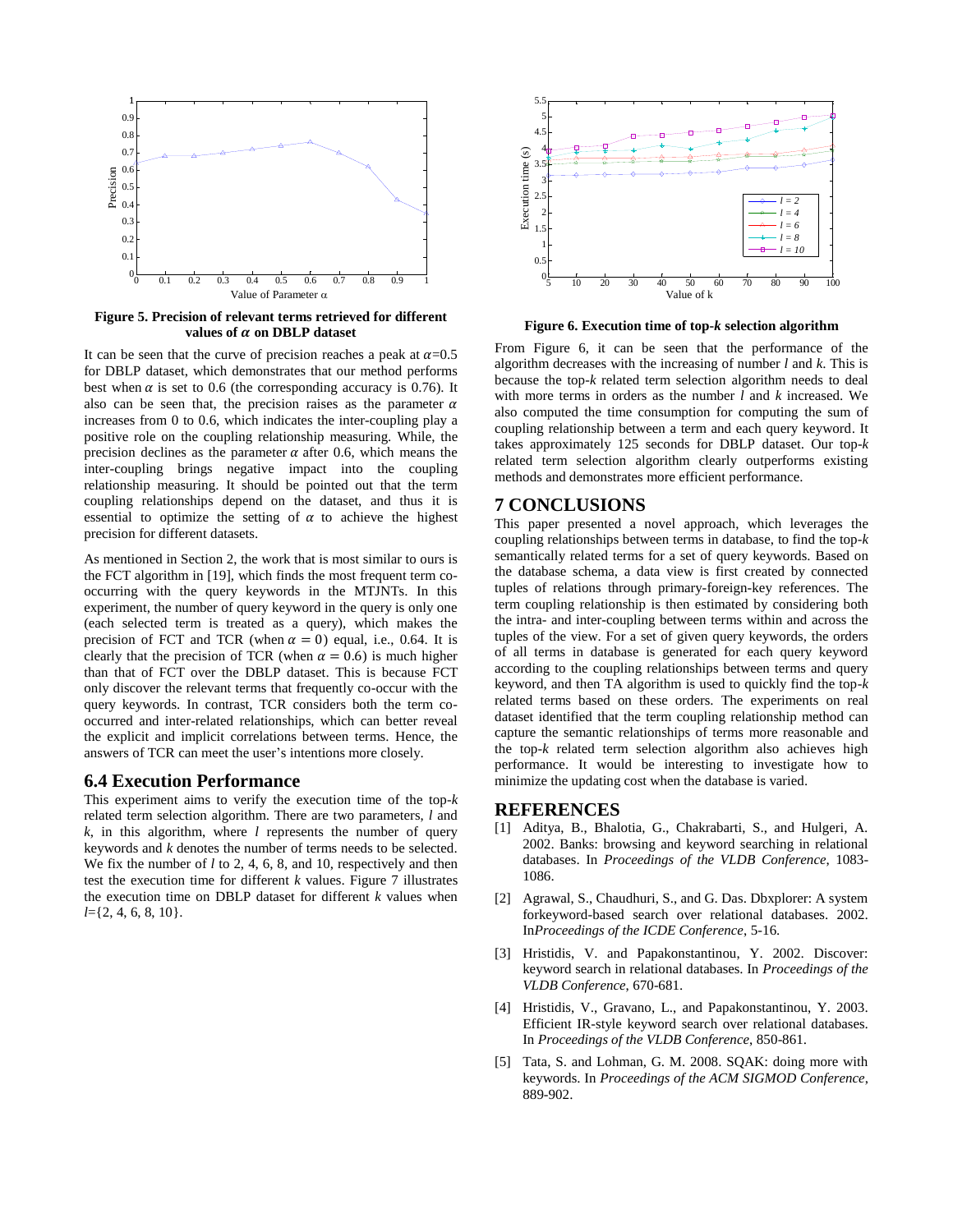

**Figure 5. Precision of relevant terms retrieved for different**  values of  $\alpha$  on DBLP dataset

It can be seen that the curve of precision reaches a peak at  $\alpha$ =0.5 for DBLP dataset, which demonstrates that our method performs best when  $\alpha$  is set to 0.6 (the corresponding accuracy is 0.76). It also can be seen that, the precision raises as the parameter  $\alpha$ increases from 0 to 0.6, which indicates the inter-coupling play a positive role on the coupling relationship measuring. While, the precision declines as the parameter  $\alpha$  after 0.6, which means the inter-coupling brings negative impact into the coupling relationship measuring. It should be pointed out that the term coupling relationships depend on the dataset, and thus it is essential to optimize the setting of  $\alpha$  to achieve the highest precision for different datasets.

As mentioned in Section 2, the work that is most similar to ours is the FCT algorithm in [19], which finds the most frequent term cooccurring with the query keywords in the MTJNTs. In this experiment, the number of query keyword in the query is only one (each selected term is treated as a query), which makes the precision of FCT and TCR (when  $\alpha = 0$ ) equal, i.e., 0.64. It is clearly that the precision of TCR (when  $\alpha = 0.6$ ) is much higher than that of FCT over the DBLP dataset. This is because FCT only discover the relevant terms that frequently co-occur with the query keywords. In contrast, TCR considers both the term cooccurred and inter-related relationships, which can better reveal the explicit and implicit correlations between terms. Hence, the answers of TCR can meet the user's intentions more closely.

#### **6.4 Execution Performance**

This experiment aims to verify the execution time of the top-*k* related term selection algorithm. There are two parameters, *l* and *k*, in this algorithm, where *l* represents the number of query keywords and *k* denotes the number of terms needs to be selected. We fix the number of *l* to 2, 4, 6, 8, and 10, respectively and then test the execution time for different *k* values. Figure 7 illustrates the execution time on DBLP dataset for different *k* values when *l*={2, 4, 6, 8, 10}.



**Figure 6. Execution time of top-***k* **selection algorithm** 

From Figure 6, it can be seen that the performance of the algorithm decreases with the increasing of number *l* and *k*. This is because the top-*k* related term selection algorithm needs to deal with more terms in orders as the number *l* and *k* increased. We also computed the time consumption for computing the sum of coupling relationship between a term and each query keyword. It takes approximately 125 seconds for DBLP dataset. Our top-*k* related term selection algorithm clearly outperforms existing methods and demonstrates more efficient performance.

# **7 CONCLUSIONS**

This paper presented a novel approach, which leverages the coupling relationships between terms in database, to find the top-*k* semantically related terms for a set of query keywords. Based on the database schema, a data view is first created by connected tuples of relations through primary-foreign-key references. The term coupling relationship is then estimated by considering both the intra- and inter-coupling between terms within and across the tuples of the view. For a set of given query keywords, the orders of all terms in database is generated for each query keyword according to the coupling relationships between terms and query keyword, and then TA algorithm is used to quickly find the top-*k* related terms based on these orders. The experiments on real dataset identified that the term coupling relationship method can capture the semantic relationships of terms more reasonable and the top-*k* related term selection algorithm also achieves high performance. It would be interesting to investigate how to minimize the updating cost when the database is varied.

# **REFERENCES**

- [1] Aditya, B., Bhalotia, G., Chakrabarti, S., and Hulgeri, A. 2002. Banks: browsing and keyword searching in relational databases. In *Proceedings of the VLDB Conference*, 1083- 1086.
- [2] Agrawal, S., Chaudhuri, S., and G. Das. Dbxplorer: A system forkeyword-based search over relational databases. 2002. In*Proceedings of the ICDE Conference*, 5-16.
- [3] Hristidis, V. and Papakonstantinou, Y. 2002. Discover: keyword search in relational databases. In *Proceedings of the VLDB Conference*, 670-681.
- [4] Hristidis, V., Gravano, L., and Papakonstantinou, Y. 2003. Efficient IR-style keyword search over relational databases. In *Proceedings of the VLDB Conference*, 850-861.
- [5] Tata, S. and Lohman, G. M. 2008. SQAK: doing more with keywords. In *Proceedings of the ACM SIGMOD Conference*, 889-902.